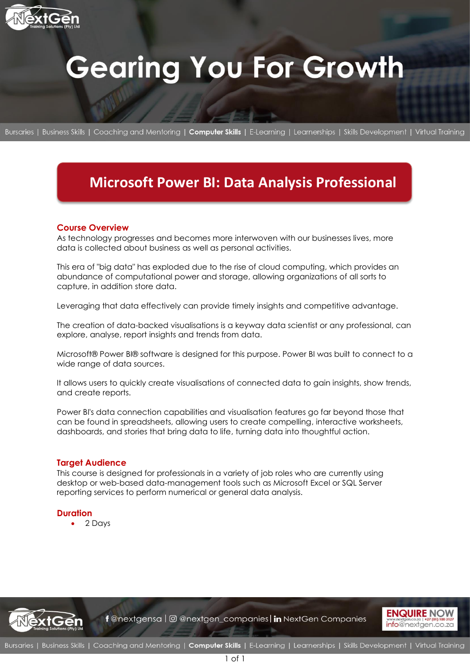

# **Gearing You For Growth**

Bursaries | Business Skills | Coaching and Mentoring | Computer Skills | E-Learning | Learnerships | Skills Development | Virtual Training

# **Microsoft Power BI: Data Analysis Professional**

# **Course Overview**

As technology progresses and becomes more interwoven with our businesses lives, more data is collected about business as well as personal activities.

This era of "big data" has exploded due to the rise of cloud computing, which provides an abundance of computational power and storage, allowing organizations of all sorts to capture, in addition store data.

Leveraging that data effectively can provide timely insights and competitive advantage.

The creation of data-backed visualisations is a keyway data scientist or any professional, can explore, analyse, report insights and trends from data.

Microsoft® Power BI® software is designed for this purpose. Power BI was built to connect to a wide range of data sources.

It allows users to quickly create visualisations of connected data to gain insights, show trends, and create reports.

Power BI's data connection capabilities and visualisation features go far beyond those that can be found in spreadsheets, allowing users to create compelling, interactive worksheets, dashboards, and stories that bring data to life, turning data into thoughtful action.

# **Target Audience**

This course is designed for professionals in a variety of job roles who are currently using desktop or web-based data-management tools such as Microsoft Excel or SQL Server reporting services to perform numerical or general data analysis.

# **Duration**

• 2 Days



f @nextgensa | @ @nextgen\_companies | in NextGen Companies

1 of 1